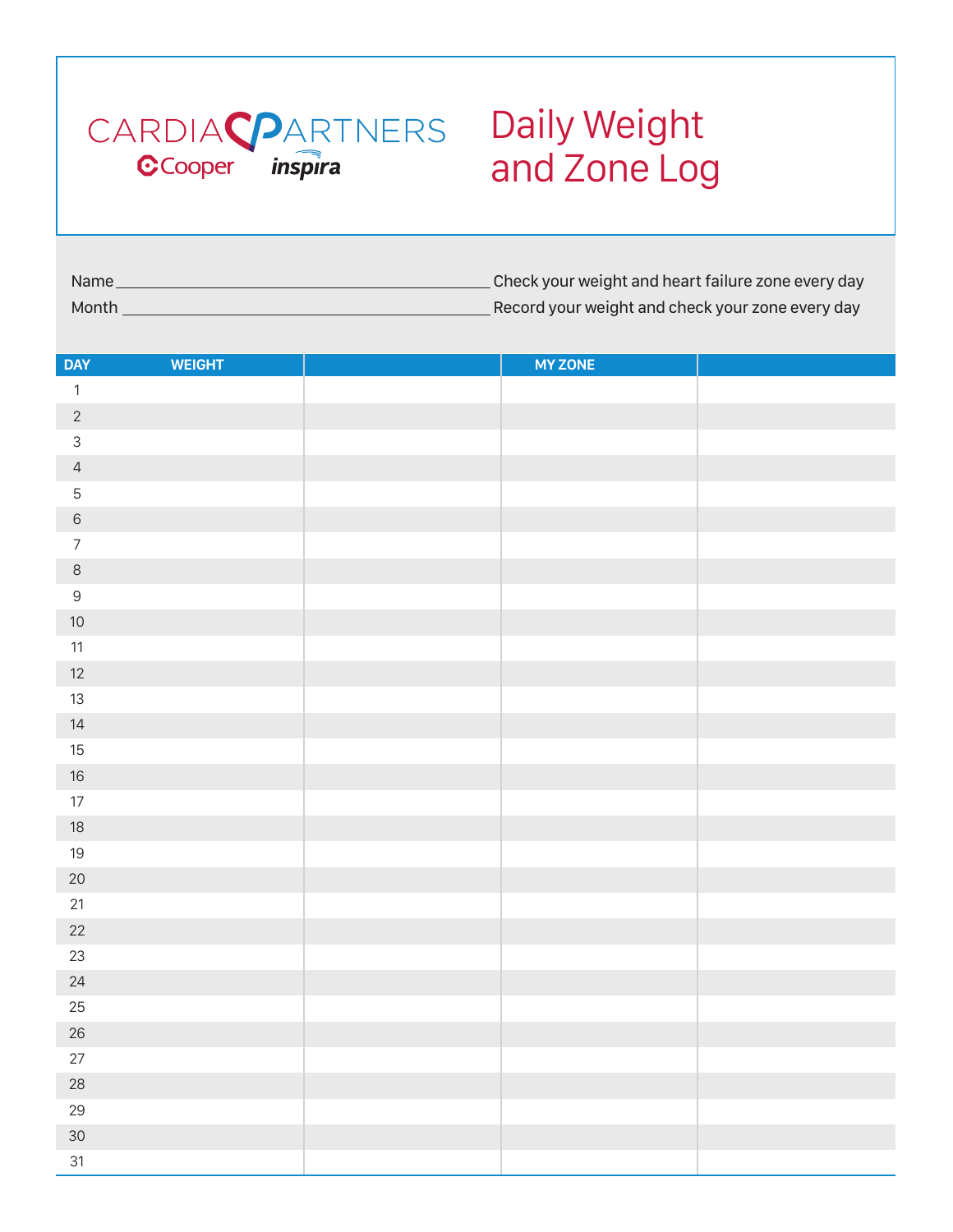

## and Zone Log

| Name  | . Check your weight and heart failure zone every day |
|-------|------------------------------------------------------|
| Month | Record your weight and check your zone every day     |

| <b>DAY</b>     | <b>WEIGHT</b> | <b>MY ZONE</b> |  |
|----------------|---------------|----------------|--|
|                |               |                |  |
| $\mathbf{1}$   |               |                |  |
| $\overline{c}$ |               |                |  |
| $\mathsf{3}$   |               |                |  |
| $\overline{4}$ |               |                |  |
| $\mathbf 5$    |               |                |  |
| $\,$ 6 $\,$    |               |                |  |
| $\overline{7}$ |               |                |  |
| $\,8\,$        |               |                |  |
| $\mathsf 9$    |               |                |  |
| $10$           |               |                |  |
| $11$           |               |                |  |
| $12$           |               |                |  |
| $13\,$         |               |                |  |
| $14$           |               |                |  |
| $15\,$         |               |                |  |
| $16\,$         |               |                |  |
| $17\,$         |               |                |  |
| $18\,$         |               |                |  |
| $19$           |               |                |  |
| $20\,$         |               |                |  |
| $21\,$         |               |                |  |
| $22\,$         |               |                |  |
| 23             |               |                |  |
| $24\,$         |               |                |  |
| $25\,$         |               |                |  |
| $26\,$         |               |                |  |
| $27\,$         |               |                |  |
| $28\,$         |               |                |  |
| $29\,$         |               |                |  |
| $30\,$         |               |                |  |
| 31             |               |                |  |